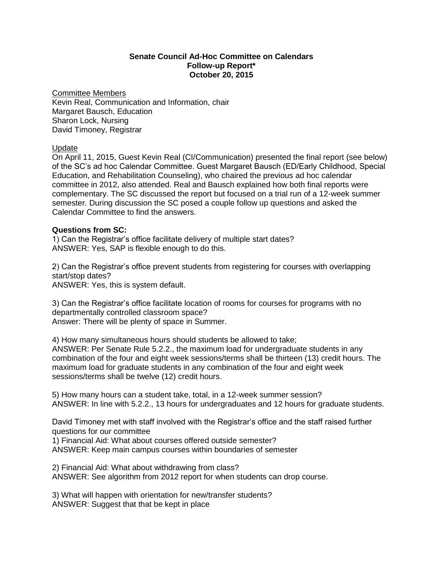### **Senate Council Ad-Hoc Committee on Calendars Follow-up Report\* October 20, 2015**

#### Committee Members

Kevin Real, Communication and Information, chair Margaret Bausch, Education Sharon Lock, Nursing David Timoney, Registrar

#### Update

On April 11, 2015, Guest Kevin Real (CI/Communication) presented the final report (see below) of the SC's ad hoc Calendar Committee. Guest Margaret Bausch (ED/Early Childhood, Special Education, and Rehabilitation Counseling), who chaired the previous ad hoc calendar committee in 2012, also attended. Real and Bausch explained how both final reports were complementary. The SC discussed the report but focused on a trial run of a 12-week summer semester. During discussion the SC posed a couple follow up questions and asked the Calendar Committee to find the answers.

### **Questions from SC:**

1) Can the Registrar's office facilitate delivery of multiple start dates? ANSWER: Yes, SAP is flexible enough to do this.

2) Can the Registrar's office prevent students from registering for courses with overlapping start/stop dates? ANSWER: Yes, this is system default.

3) Can the Registrar's office facilitate location of rooms for courses for programs with no departmentally controlled classroom space? Answer: There will be plenty of space in Summer.

4) How many simultaneous hours should students be allowed to take; ANSWER: Per Senate Rule 5.2.2., the maximum load for undergraduate students in any combination of the four and eight week sessions/terms shall be thirteen (13) credit hours. The maximum load for graduate students in any combination of the four and eight week sessions/terms shall be twelve (12) credit hours.

5) How many hours can a student take, total, in a 12-week summer session? ANSWER: In line with 5.2.2., 13 hours for undergraduates and 12 hours for graduate students.

David Timoney met with staff involved with the Registrar's office and the staff raised further questions for our committee

1) Financial Aid: What about courses offered outside semester? ANSWER: Keep main campus courses within boundaries of semester

2) Financial Aid: What about withdrawing from class? ANSWER: See algorithm from 2012 report for when students can drop course.

3) What will happen with orientation for new/transfer students? ANSWER: Suggest that that be kept in place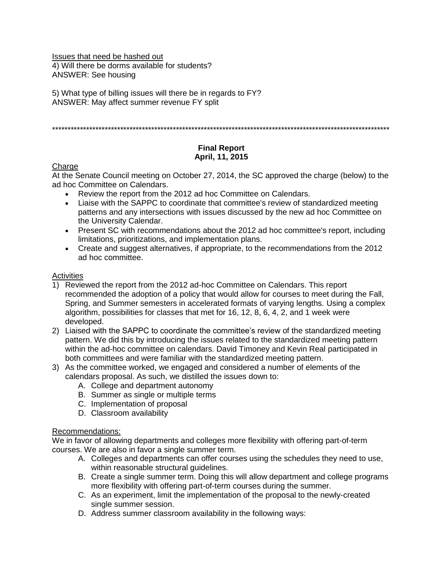Issues that need be hashed out 4) Will there be dorms available for students? ANSWER: See housing

5) What type of billing issues will there be in regards to FY? ANSWER: May affect summer revenue FY split

\*\*\*\*\*\*\*\*\*\*\*\*\*\*\*\*\*\*\*\*\*\*\*\*\*\*\*\*\*\*\*\*\*\*\*\*\*\*\*\*\*\*\*\*\*\*\*\*\*\*\*\*\*\*\*\*\*\*\*\*\*\*\*\*\*\*\*\*\*\*\*\*\*\*\*\*\*\*\*\*\*\*\*\*\*\*\*\*\*\*\*\*\*\*\*\*\*\*\*\*\*\*\*\*\*\*\*\*\*

# **Final Report April, 11, 2015**

# **Charge**

At the Senate Council meeting on October 27, 2014, the SC approved the charge (below) to the ad hoc Committee on Calendars.

- Review the report from the 2012 ad hoc Committee on Calendars.
- Liaise with the SAPPC to coordinate that committee's review of standardized meeting patterns and any intersections with issues discussed by the new ad hoc Committee on the University Calendar.
- Present SC with recommendations about the 2012 ad hoc committee's report, including limitations, prioritizations, and implementation plans.
- Create and suggest alternatives, if appropriate, to the recommendations from the 2012 ad hoc committee.

### **Activities**

- 1) Reviewed the report from the 2012 ad-hoc Committee on Calendars. This report recommended the adoption of a policy that would allow for courses to meet during the Fall, Spring, and Summer semesters in accelerated formats of varying lengths. Using a complex algorithm, possibilities for classes that met for 16, 12, 8, 6, 4, 2, and 1 week were developed.
- 2) Liaised with the SAPPC to coordinate the committee's review of the standardized meeting pattern. We did this by introducing the issues related to the standardized meeting pattern within the ad-hoc committee on calendars. David Timoney and Kevin Real participated in both committees and were familiar with the standardized meeting pattern.
- 3) As the committee worked, we engaged and considered a number of elements of the calendars proposal. As such, we distilled the issues down to:
	- A. College and department autonomy
	- B. Summer as single or multiple terms
	- C. Implementation of proposal
	- D. Classroom availability

### Recommendations:

We in favor of allowing departments and colleges more flexibility with offering part-of-term courses. We are also in favor a single summer term.

- A. Colleges and departments can offer courses using the schedules they need to use, within reasonable structural guidelines.
- B. Create a single summer term. Doing this will allow department and college programs more flexibility with offering part-of-term courses during the summer.
- C. As an experiment, limit the implementation of the proposal to the newly-created single summer session.
- D. Address summer classroom availability in the following ways: